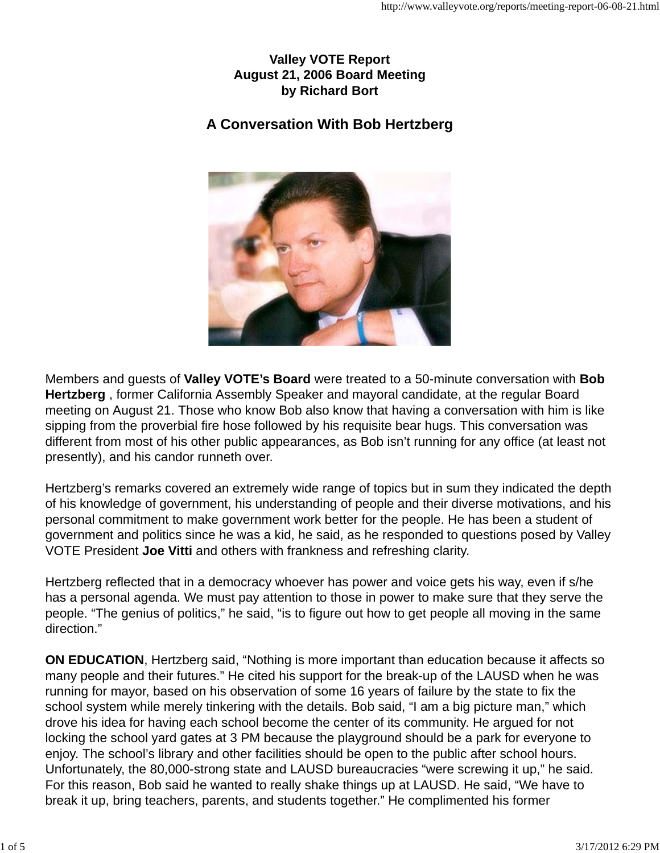## **Valley VOTE Report August 21, 2006 Board Meeting by Richard Bort**

# **A Conversation With Bob Hertzberg**



Members and guests of **Valley VOTE's Board** were treated to a 50-minute conversation with **Bob Hertzberg** , former California Assembly Speaker and mayoral candidate, at the regular Board meeting on August 21. Those who know Bob also know that having a conversation with him is like sipping from the proverbial fire hose followed by his requisite bear hugs. This conversation was different from most of his other public appearances, as Bob isn't running for any office (at least not presently), and his candor runneth over.

Hertzberg's remarks covered an extremely wide range of topics but in sum they indicated the depth of his knowledge of government, his understanding of people and their diverse motivations, and his personal commitment to make government work better for the people. He has been a student of government and politics since he was a kid, he said, as he responded to questions posed by Valley VOTE President **Joe Vitti** and others with frankness and refreshing clarity.

Hertzberg reflected that in a democracy whoever has power and voice gets his way, even if s/he has a personal agenda. We must pay attention to those in power to make sure that they serve the people. "The genius of politics," he said, "is to figure out how to get people all moving in the same direction."

**ON EDUCATION**, Hertzberg said, "Nothing is more important than education because it affects so many people and their futures." He cited his support for the break-up of the LAUSD when he was running for mayor, based on his observation of some 16 years of failure by the state to fix the school system while merely tinkering with the details. Bob said, "I am a big picture man," which drove his idea for having each school become the center of its community. He argued for not locking the school yard gates at 3 PM because the playground should be a park for everyone to enjoy. The school's library and other facilities should be open to the public after school hours. Unfortunately, the 80,000-strong state and LAUSD bureaucracies "were screwing it up," he said. For this reason, Bob said he wanted to really shake things up at LAUSD. He said, "We have to break it up, bring teachers, parents, and students together." He complimented his former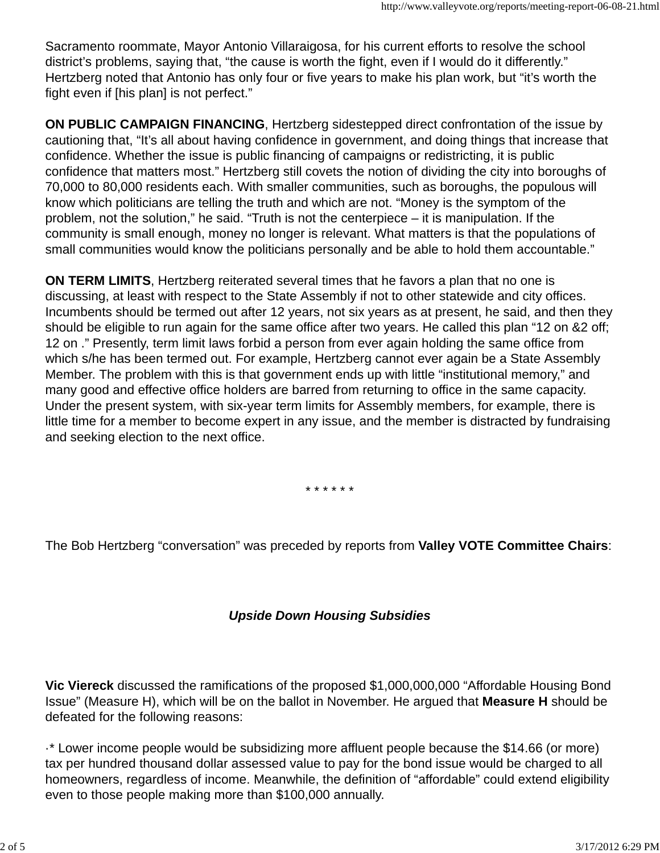Sacramento roommate, Mayor Antonio Villaraigosa, for his current efforts to resolve the school district's problems, saying that, "the cause is worth the fight, even if I would do it differently." Hertzberg noted that Antonio has only four or five years to make his plan work, but "it's worth the fight even if [his plan] is not perfect."

**ON PUBLIC CAMPAIGN FINANCING**, Hertzberg sidestepped direct confrontation of the issue by cautioning that, "It's all about having confidence in government, and doing things that increase that confidence. Whether the issue is public financing of campaigns or redistricting, it is public confidence that matters most." Hertzberg still covets the notion of dividing the city into boroughs of 70,000 to 80,000 residents each. With smaller communities, such as boroughs, the populous will know which politicians are telling the truth and which are not. "Money is the symptom of the problem, not the solution," he said. "Truth is not the centerpiece – it is manipulation. If the community is small enough, money no longer is relevant. What matters is that the populations of small communities would know the politicians personally and be able to hold them accountable."

**ON TERM LIMITS**, Hertzberg reiterated several times that he favors a plan that no one is discussing, at least with respect to the State Assembly if not to other statewide and city offices. Incumbents should be termed out after 12 years, not six years as at present, he said, and then they should be eligible to run again for the same office after two years. He called this plan "12 on &2 off; 12 on ." Presently, term limit laws forbid a person from ever again holding the same office from which s/he has been termed out. For example, Hertzberg cannot ever again be a State Assembly Member. The problem with this is that government ends up with little "institutional memory," and many good and effective office holders are barred from returning to office in the same capacity. Under the present system, with six-year term limits for Assembly members, for example, there is little time for a member to become expert in any issue, and the member is distracted by fundraising and seeking election to the next office.

\* \* \* \* \* \*

The Bob Hertzberg "conversation" was preceded by reports from **Valley VOTE Committee Chairs**:

# *Upside Down Housing Subsidies*

**Vic Viereck** discussed the ramifications of the proposed \$1,000,000,000 "Affordable Housing Bond Issue" (Measure H), which will be on the ballot in November. He argued that **Measure H** should be defeated for the following reasons:

·\* Lower income people would be subsidizing more affluent people because the \$14.66 (or more) tax per hundred thousand dollar assessed value to pay for the bond issue would be charged to all homeowners, regardless of income. Meanwhile, the definition of "affordable" could extend eligibility even to those people making more than \$100,000 annually.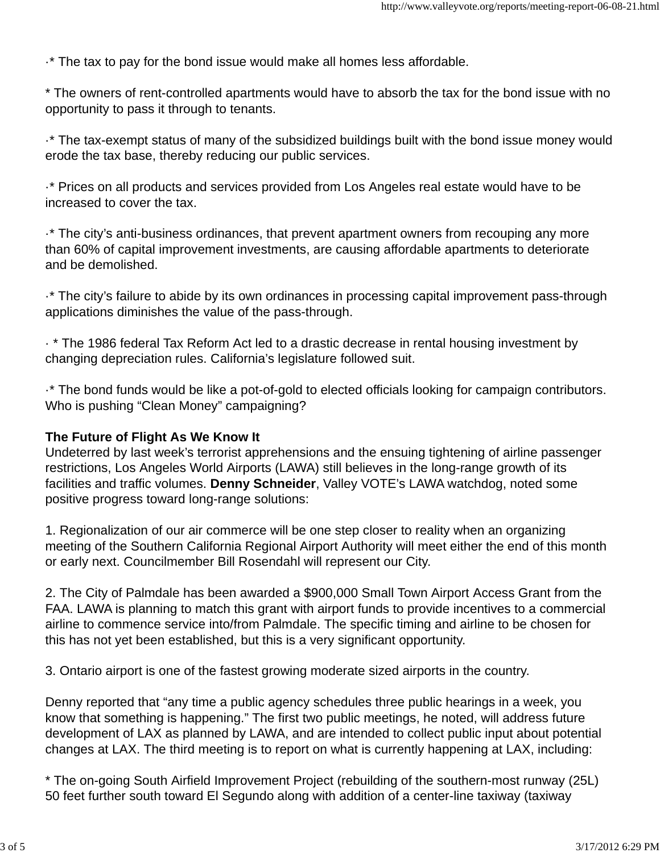·\* The tax to pay for the bond issue would make all homes less affordable.

\* The owners of rent-controlled apartments would have to absorb the tax for the bond issue with no opportunity to pass it through to tenants.

·\* The tax-exempt status of many of the subsidized buildings built with the bond issue money would erode the tax base, thereby reducing our public services.

·\* Prices on all products and services provided from Los Angeles real estate would have to be increased to cover the tax.

·\* The city's anti-business ordinances, that prevent apartment owners from recouping any more than 60% of capital improvement investments, are causing affordable apartments to deteriorate and be demolished.

·\* The city's failure to abide by its own ordinances in processing capital improvement pass-through applications diminishes the value of the pass-through.

· \* The 1986 federal Tax Reform Act led to a drastic decrease in rental housing investment by changing depreciation rules. California's legislature followed suit.

·\* The bond funds would be like a pot-of-gold to elected officials looking for campaign contributors. Who is pushing "Clean Money" campaigning?

#### **The Future of Flight As We Know It**

Undeterred by last week's terrorist apprehensions and the ensuing tightening of airline passenger restrictions, Los Angeles World Airports (LAWA) still believes in the long-range growth of its facilities and traffic volumes. **Denny Schneider**, Valley VOTE's LAWA watchdog, noted some positive progress toward long-range solutions:

1. Regionalization of our air commerce will be one step closer to reality when an organizing meeting of the Southern California Regional Airport Authority will meet either the end of this month or early next. Councilmember Bill Rosendahl will represent our City.

2. The City of Palmdale has been awarded a \$900,000 Small Town Airport Access Grant from the FAA. LAWA is planning to match this grant with airport funds to provide incentives to a commercial airline to commence service into/from Palmdale. The specific timing and airline to be chosen for this has not yet been established, but this is a very significant opportunity.

3. Ontario airport is one of the fastest growing moderate sized airports in the country.

Denny reported that "any time a public agency schedules three public hearings in a week, you know that something is happening." The first two public meetings, he noted, will address future development of LAX as planned by LAWA, and are intended to collect public input about potential changes at LAX. The third meeting is to report on what is currently happening at LAX, including:

\* The on-going South Airfield Improvement Project (rebuilding of the southern-most runway (25L) 50 feet further south toward El Segundo along with addition of a center-line taxiway (taxiway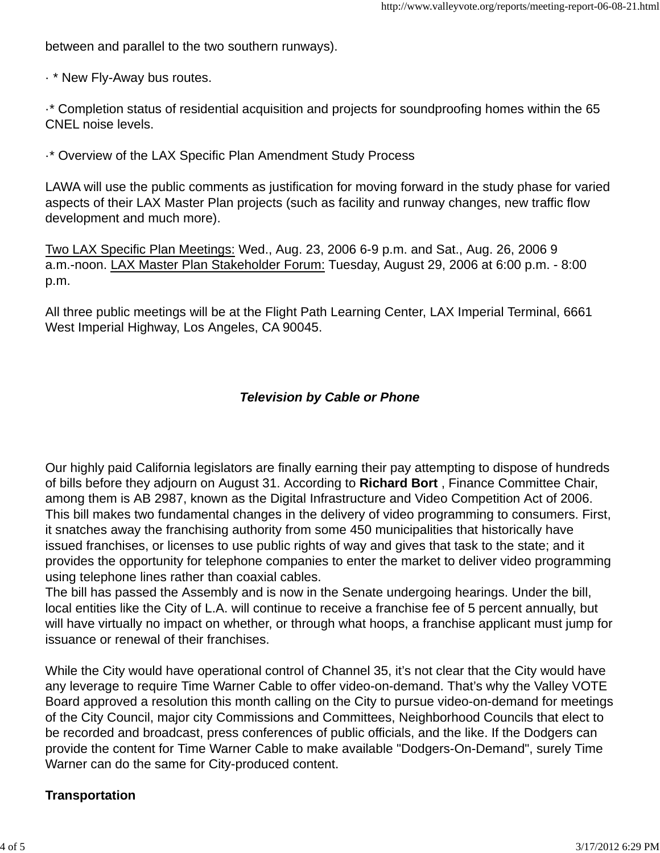between and parallel to the two southern runways).

· \* New Fly-Away bus routes.

·\* Completion status of residential acquisition and projects for soundproofing homes within the 65 CNEL noise levels.

·\* Overview of the LAX Specific Plan Amendment Study Process

LAWA will use the public comments as justification for moving forward in the study phase for varied aspects of their LAX Master Plan projects (such as facility and runway changes, new traffic flow development and much more).

Two LAX Specific Plan Meetings: Wed., Aug. 23, 2006 6-9 p.m. and Sat., Aug. 26, 2006 9 a.m.-noon. LAX Master Plan Stakeholder Forum: Tuesday, August 29, 2006 at 6:00 p.m. - 8:00 p.m.

All three public meetings will be at the Flight Path Learning Center, LAX Imperial Terminal, 6661 West Imperial Highway, Los Angeles, CA 90045.

# *Television by Cable or Phone*

Our highly paid California legislators are finally earning their pay attempting to dispose of hundreds of bills before they adjourn on August 31. According to **Richard Bort** , Finance Committee Chair, among them is AB 2987, known as the Digital Infrastructure and Video Competition Act of 2006. This bill makes two fundamental changes in the delivery of video programming to consumers. First, it snatches away the franchising authority from some 450 municipalities that historically have issued franchises, or licenses to use public rights of way and gives that task to the state; and it provides the opportunity for telephone companies to enter the market to deliver video programming using telephone lines rather than coaxial cables.

The bill has passed the Assembly and is now in the Senate undergoing hearings. Under the bill, local entities like the City of L.A. will continue to receive a franchise fee of 5 percent annually, but will have virtually no impact on whether, or through what hoops, a franchise applicant must jump for issuance or renewal of their franchises.

While the City would have operational control of Channel 35, it's not clear that the City would have any leverage to require Time Warner Cable to offer video-on-demand. That's why the Valley VOTE Board approved a resolution this month calling on the City to pursue video-on-demand for meetings of the City Council, major city Commissions and Committees, Neighborhood Councils that elect to be recorded and broadcast, press conferences of public officials, and the like. If the Dodgers can provide the content for Time Warner Cable to make available "Dodgers-On-Demand", surely Time Warner can do the same for City-produced content.

## **Transportation**